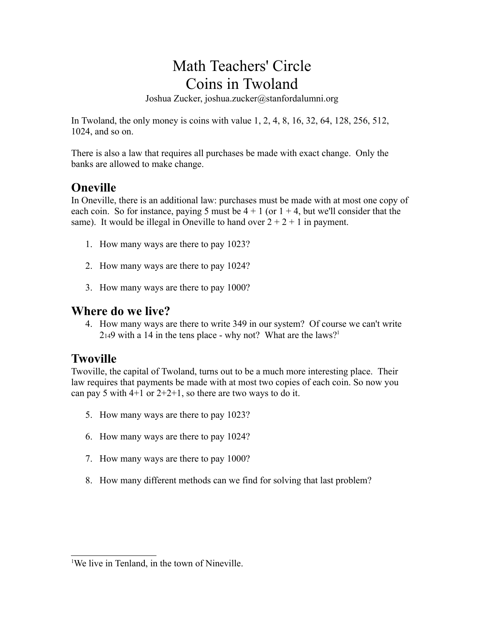# Math Teachers' Circle Coins in Twoland

Joshua Zucker, joshua.zucker@stanfordalumni.org

In Twoland, the only money is coins with value 1, 2, 4, 8, 16, 32, 64, 128, 256, 512, 1024, and so on.

There is also a law that requires all purchases be made with exact change. Only the banks are allowed to make change.

### **Oneville**

In Oneville, there is an additional law: purchases must be made with at most one copy of each coin. So for instance, paying 5 must be  $4 + 1$  (or  $1 + 4$ , but we'll consider that the same). It would be illegal in Oneville to hand over  $2 + 2 + 1$  in payment.

- 1. How many ways are there to pay 1023?
- 2. How many ways are there to pay 1024?
- 3. How many ways are there to pay 1000?

#### **Where do we live?**

4. How many ways are there to write 349 in our system? Of course we can't write  $2_{14}9$  with a 14 in the tens place - why not? What are the laws?<sup>1</sup>

### **Twoville**

Twoville, the capital of Twoland, turns out to be a much more interesting place. Their law requires that payments be made with at most two copies of each coin. So now you can pay 5 with  $4+1$  or  $2+2+1$ , so there are two ways to do it.

- 5. How many ways are there to pay 1023?
- 6. How many ways are there to pay 1024?
- 7. How many ways are there to pay 1000?
- 8. How many different methods can we find for solving that last problem?

<sup>&</sup>lt;sup>1</sup>We live in Tenland, in the town of Nineville.